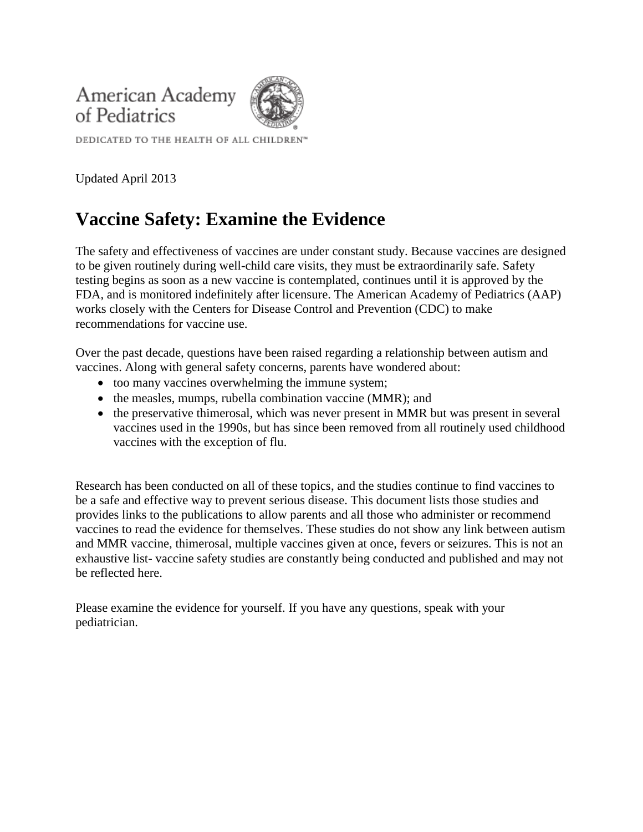



DEDICATED TO THE HEALTH OF ALL CHILDREN<sup>®</sup>

Updated April 2013

# **Vaccine Safety: Examine the Evidence**

The safety and effectiveness of vaccines are under constant study. Because vaccines are designed to be given routinely during well-child care visits, they must be extraordinarily safe. Safety testing begins as soon as a new vaccine is contemplated, continues until it is approved by the FDA, and is monitored indefinitely after licensure. The American Academy of Pediatrics (AAP) works closely with the Centers for Disease Control and Prevention (CDC) to make recommendations for vaccine use.

Over the past decade, questions have been raised regarding a relationship between autism and vaccines. Along with general safety concerns, parents have wondered about:

- too many vaccines overwhelming the immune system;
- the measles, mumps, rubella combination vaccine (MMR); and
- the preservative thimerosal, which was never present in MMR but was present in several vaccines used in the 1990s, but has since been removed from all routinely used childhood vaccines with the exception of flu.

Research has been conducted on all of these topics, and the studies continue to find vaccines to be a safe and effective way to prevent serious disease. This document lists those studies and provides links to the publications to allow parents and all those who administer or recommend vaccines to read the evidence for themselves. These studies do not show any link between autism and MMR vaccine, thimerosal, multiple vaccines given at once, fevers or seizures. This is not an exhaustive list- vaccine safety studies are constantly being conducted and published and may not be reflected here.

Please examine the evidence for yourself. If you have any questions, speak with your pediatrician.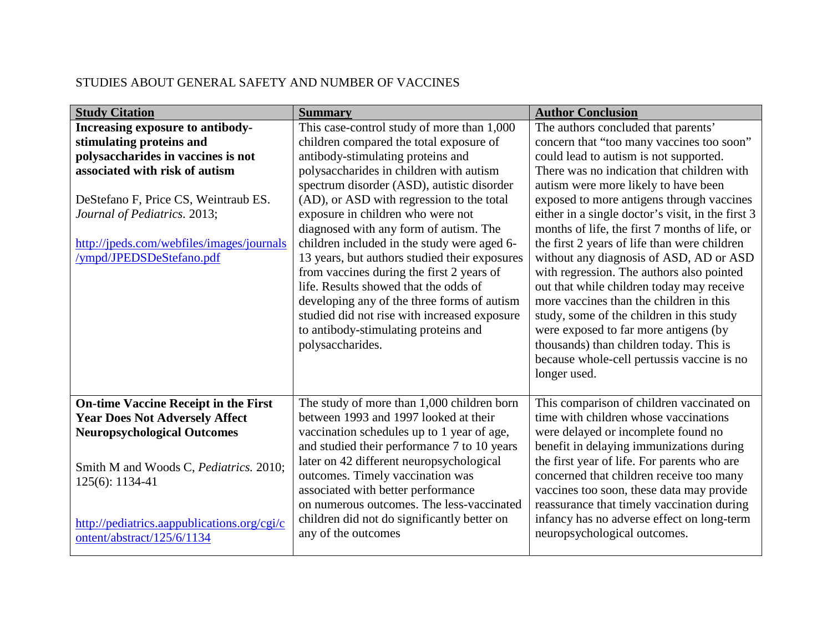#### STUDIES ABOUT GENERAL SAFETY AND NUMBER OF VACCINES

| <b>Study Citation</b>                                     | <b>Summary</b>                                | <b>Author Conclusion</b>                          |
|-----------------------------------------------------------|-----------------------------------------------|---------------------------------------------------|
| Increasing exposure to antibody-                          | This case-control study of more than 1,000    | The authors concluded that parents'               |
| stimulating proteins and                                  | children compared the total exposure of       | concern that "too many vaccines too soon"         |
| polysaccharides in vaccines is not                        | antibody-stimulating proteins and             | could lead to autism is not supported.            |
| associated with risk of autism                            | polysaccharides in children with autism       | There was no indication that children with        |
|                                                           | spectrum disorder (ASD), autistic disorder    | autism were more likely to have been              |
| DeStefano F, Price CS, Weintraub ES.                      | (AD), or ASD with regression to the total     | exposed to more antigens through vaccines         |
| Journal of Pediatrics. 2013;                              | exposure in children who were not             | either in a single doctor's visit, in the first 3 |
|                                                           | diagnosed with any form of autism. The        | months of life, the first 7 months of life, or    |
| http://jpeds.com/webfiles/images/journals                 | children included in the study were aged 6-   | the first 2 years of life than were children      |
| /ympd/JPEDSDeStefano.pdf                                  | 13 years, but authors studied their exposures | without any diagnosis of ASD, AD or ASD           |
|                                                           | from vaccines during the first 2 years of     | with regression. The authors also pointed         |
|                                                           | life. Results showed that the odds of         | out that while children today may receive         |
|                                                           | developing any of the three forms of autism   | more vaccines than the children in this           |
|                                                           | studied did not rise with increased exposure  | study, some of the children in this study         |
|                                                           | to antibody-stimulating proteins and          | were exposed to far more antigens (by             |
|                                                           | polysaccharides.                              | thousands) than children today. This is           |
|                                                           |                                               | because whole-cell pertussis vaccine is no        |
|                                                           |                                               | longer used.                                      |
| <b>On-time Vaccine Receipt in the First</b>               | The study of more than 1,000 children born    | This comparison of children vaccinated on         |
| <b>Year Does Not Adversely Affect</b>                     | between 1993 and 1997 looked at their         | time with children whose vaccinations             |
| <b>Neuropsychological Outcomes</b>                        | vaccination schedules up to 1 year of age,    | were delayed or incomplete found no               |
|                                                           | and studied their performance 7 to 10 years   | benefit in delaying immunizations during          |
|                                                           | later on 42 different neuropsychological      | the first year of life. For parents who are       |
| Smith M and Woods C, Pediatrics. 2010;<br>125(6): 1134-41 | outcomes. Timely vaccination was              | concerned that children receive too many          |
|                                                           | associated with better performance            | vaccines too soon, these data may provide         |
|                                                           | on numerous outcomes. The less-vaccinated     | reassurance that timely vaccination during        |
| http://pediatrics.aappublications.org/cgi/c               | children did not do significantly better on   | infancy has no adverse effect on long-term        |
| ontent/abstract/125/6/1134                                | any of the outcomes                           | neuropsychological outcomes.                      |
|                                                           |                                               |                                                   |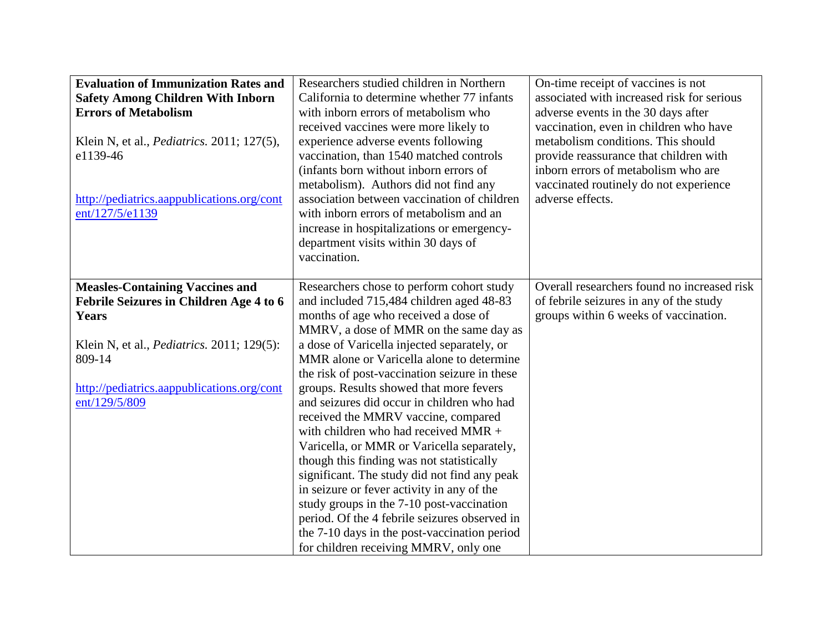| <b>Evaluation of Immunization Rates and</b><br><b>Safety Among Children With Inborn</b><br><b>Errors of Metabolism</b><br>Klein N, et al., <i>Pediatrics</i> . 2011; 127(5),<br>e1139-46<br>http://pediatrics.aappublications.org/cont<br>ent/127/5/e1139 | Researchers studied children in Northern<br>California to determine whether 77 infants<br>with inborn errors of metabolism who<br>received vaccines were more likely to<br>experience adverse events following<br>vaccination, than 1540 matched controls<br>(infants born without inborn errors of<br>metabolism). Authors did not find any<br>association between vaccination of children<br>with inborn errors of metabolism and an<br>increase in hospitalizations or emergency-<br>department visits within 30 days of<br>vaccination.                                                                                                                                                                                                                                                                                                                                  | On-time receipt of vaccines is not<br>associated with increased risk for serious<br>adverse events in the 30 days after<br>vaccination, even in children who have<br>metabolism conditions. This should<br>provide reassurance that children with<br>inborn errors of metabolism who are<br>vaccinated routinely do not experience<br>adverse effects. |
|-----------------------------------------------------------------------------------------------------------------------------------------------------------------------------------------------------------------------------------------------------------|------------------------------------------------------------------------------------------------------------------------------------------------------------------------------------------------------------------------------------------------------------------------------------------------------------------------------------------------------------------------------------------------------------------------------------------------------------------------------------------------------------------------------------------------------------------------------------------------------------------------------------------------------------------------------------------------------------------------------------------------------------------------------------------------------------------------------------------------------------------------------|--------------------------------------------------------------------------------------------------------------------------------------------------------------------------------------------------------------------------------------------------------------------------------------------------------------------------------------------------------|
| <b>Measles-Containing Vaccines and</b><br>Febrile Seizures in Children Age 4 to 6<br>Years<br>Klein N, et al., <i>Pediatrics</i> . 2011; 129(5):<br>809-14<br>http://pediatrics.aappublications.org/cont<br>ent/129/5/809                                 | Researchers chose to perform cohort study<br>and included 715,484 children aged 48-83<br>months of age who received a dose of<br>MMRV, a dose of MMR on the same day as<br>a dose of Varicella injected separately, or<br>MMR alone or Varicella alone to determine<br>the risk of post-vaccination seizure in these<br>groups. Results showed that more fevers<br>and seizures did occur in children who had<br>received the MMRV vaccine, compared<br>with children who had received MMR +<br>Varicella, or MMR or Varicella separately,<br>though this finding was not statistically<br>significant. The study did not find any peak<br>in seizure or fever activity in any of the<br>study groups in the 7-10 post-vaccination<br>period. Of the 4 febrile seizures observed in<br>the 7-10 days in the post-vaccination period<br>for children receiving MMRV, only one | Overall researchers found no increased risk<br>of febrile seizures in any of the study<br>groups within 6 weeks of vaccination.                                                                                                                                                                                                                        |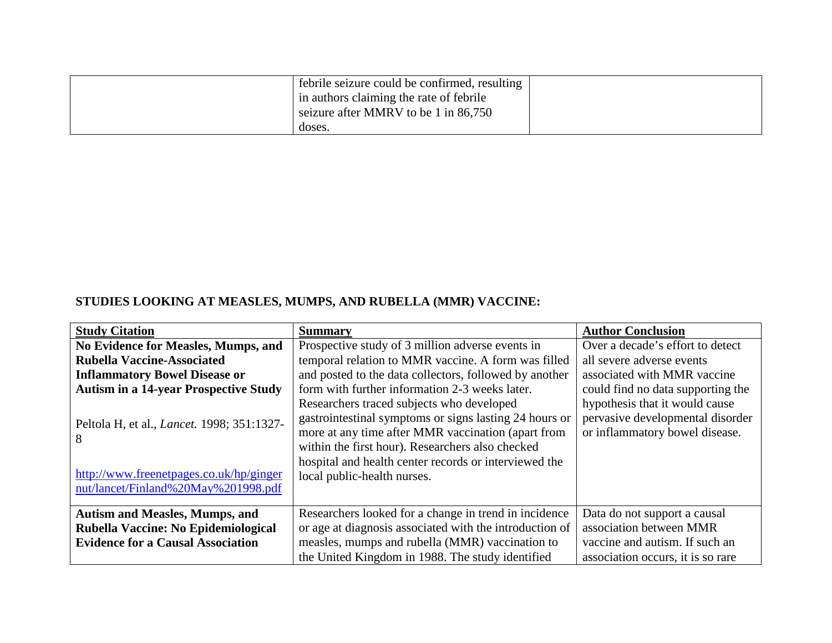| febrile seizure could be confirmed, resulting |  |
|-----------------------------------------------|--|
| I in authors claiming the rate of febrile     |  |
| seizure after MMRV to be 1 in 86,750          |  |
| doses.                                        |  |

# **STUDIES LOOKING AT MEASLES, MUMPS, AND RUBELLA (MMR) VACCINE:**

| <b>Study Citation</b>                                                                                                                     | <b>Summary</b>                                                                                                                                                                                                                                                                                        | <b>Author Conclusion</b>                                                                             |
|-------------------------------------------------------------------------------------------------------------------------------------------|-------------------------------------------------------------------------------------------------------------------------------------------------------------------------------------------------------------------------------------------------------------------------------------------------------|------------------------------------------------------------------------------------------------------|
| <b>No Evidence for Measles, Mumps, and</b>                                                                                                | Prospective study of 3 million adverse events in                                                                                                                                                                                                                                                      | Over a decade's effort to detect                                                                     |
| <b>Rubella Vaccine-Associated</b>                                                                                                         | temporal relation to MMR vaccine. A form was filled                                                                                                                                                                                                                                                   | all severe adverse events                                                                            |
| <b>Inflammatory Bowel Disease or</b>                                                                                                      | and posted to the data collectors, followed by another                                                                                                                                                                                                                                                | associated with MMR vaccine                                                                          |
| <b>Autism in a 14-year Prospective Study</b>                                                                                              | form with further information 2-3 weeks later.                                                                                                                                                                                                                                                        | could find no data supporting the                                                                    |
| Peltola H, et al., <i>Lancet</i> . 1998; 351:1327-<br>8<br>http://www.freenetpages.co.uk/hp/ginger<br>nut/lancet/Finland%20May%201998.pdf | Researchers traced subjects who developed<br>gastrointestinal symptoms or signs lasting 24 hours or<br>more at any time after MMR vaccination (apart from<br>within the first hour). Researchers also checked<br>hospital and health center records or interviewed the<br>local public-health nurses. | hypothesis that it would cause<br>pervasive developmental disorder<br>or inflammatory bowel disease. |
| <b>Autism and Measles, Mumps, and</b>                                                                                                     | Researchers looked for a change in trend in incidence                                                                                                                                                                                                                                                 | Data do not support a causal                                                                         |
| Rubella Vaccine: No Epidemiological                                                                                                       | or age at diagnosis associated with the introduction of                                                                                                                                                                                                                                               | association between MMR                                                                              |
| <b>Evidence for a Causal Association</b>                                                                                                  | measles, mumps and rubella (MMR) vaccination to                                                                                                                                                                                                                                                       | vaccine and autism. If such an                                                                       |
|                                                                                                                                           | the United Kingdom in 1988. The study identified                                                                                                                                                                                                                                                      | association occurs, it is so rare                                                                    |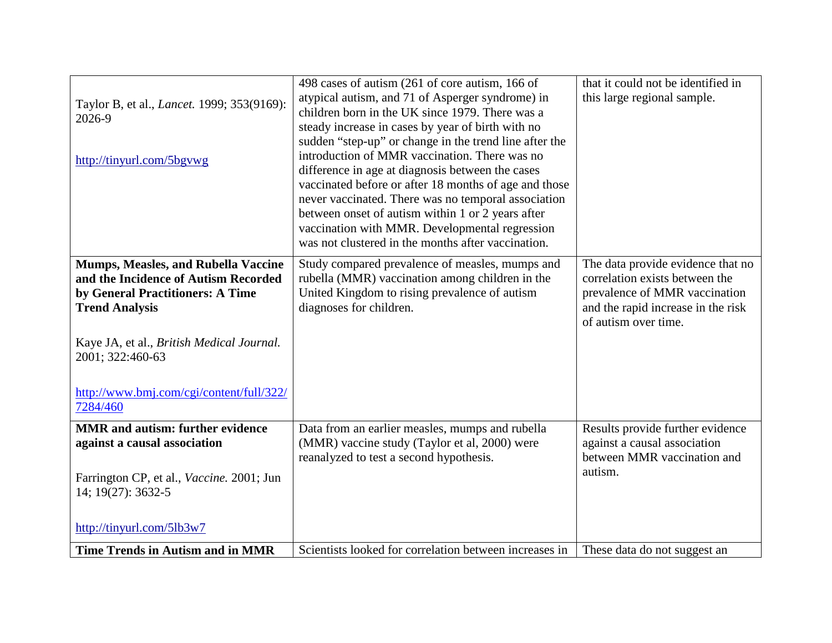|                                                    | 498 cases of autism (261 of core autism, 166 of        | that it could not be identified in |
|----------------------------------------------------|--------------------------------------------------------|------------------------------------|
| Taylor B, et al., <i>Lancet</i> . 1999; 353(9169): | atypical autism, and 71 of Asperger syndrome) in       | this large regional sample.        |
| 2026-9                                             | children born in the UK since 1979. There was a        |                                    |
|                                                    | steady increase in cases by year of birth with no      |                                    |
|                                                    | sudden "step-up" or change in the trend line after the |                                    |
| http://tinyurl.com/5bgvwg                          | introduction of MMR vaccination. There was no          |                                    |
|                                                    | difference in age at diagnosis between the cases       |                                    |
|                                                    | vaccinated before or after 18 months of age and those  |                                    |
|                                                    | never vaccinated. There was no temporal association    |                                    |
|                                                    | between onset of autism within 1 or 2 years after      |                                    |
|                                                    | vaccination with MMR. Developmental regression         |                                    |
|                                                    | was not clustered in the months after vaccination.     |                                    |
| <b>Mumps, Measles, and Rubella Vaccine</b>         | Study compared prevalence of measles, mumps and        | The data provide evidence that no  |
| and the Incidence of Autism Recorded               | rubella (MMR) vaccination among children in the        | correlation exists between the     |
| by General Practitioners: A Time                   | United Kingdom to rising prevalence of autism          | prevalence of MMR vaccination      |
| <b>Trend Analysis</b>                              | diagnoses for children.                                | and the rapid increase in the risk |
|                                                    |                                                        | of autism over time.               |
|                                                    |                                                        |                                    |
| Kaye JA, et al., British Medical Journal.          |                                                        |                                    |
| 2001; 322:460-63                                   |                                                        |                                    |
|                                                    |                                                        |                                    |
| http://www.bmj.com/cgi/content/full/322/           |                                                        |                                    |
| 7284/460                                           |                                                        |                                    |
| <b>MMR</b> and autism: further evidence            | Data from an earlier measles, mumps and rubella        | Results provide further evidence   |
| against a causal association                       | (MMR) vaccine study (Taylor et al, 2000) were          | against a causal association       |
|                                                    | reanalyzed to test a second hypothesis.                | between MMR vaccination and        |
| Farrington CP, et al., Vaccine. 2001; Jun          |                                                        | autism.                            |
| 14; 19(27): 3632-5                                 |                                                        |                                    |
|                                                    |                                                        |                                    |
|                                                    |                                                        |                                    |
| http://tinyurl.com/5lb3w7                          |                                                        |                                    |
| <b>Time Trends in Autism and in MMR</b>            | Scientists looked for correlation between increases in | These data do not suggest an       |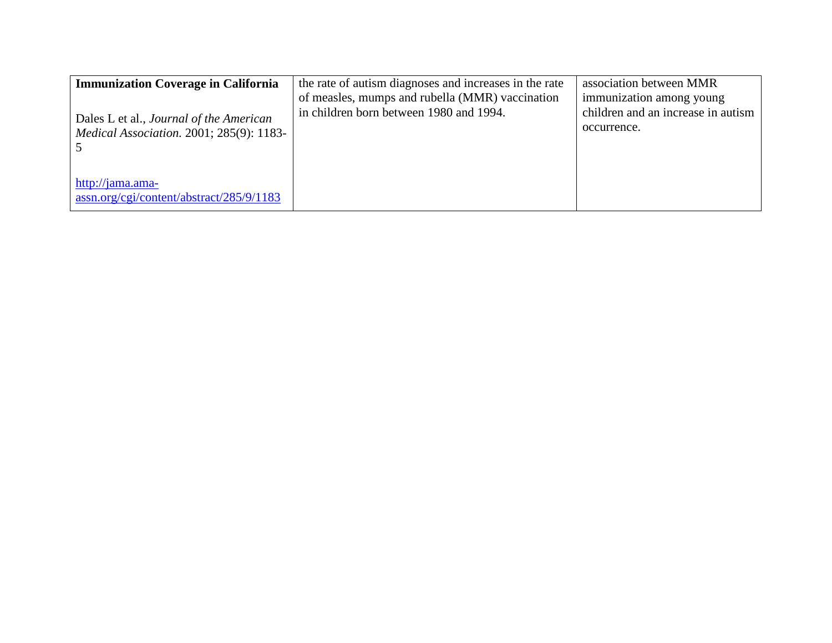| <b>Immunization Coverage in California</b>                                                        | the rate of autism diagnoses and increases in the rate                                     | association between MMR                                                       |
|---------------------------------------------------------------------------------------------------|--------------------------------------------------------------------------------------------|-------------------------------------------------------------------------------|
| Dales L et al., <i>Journal of the American</i><br><i>Medical Association.</i> 2001; 285(9): 1183- | of measles, mumps and rubella (MMR) vaccination<br>in children born between 1980 and 1994. | immunization among young<br>children and an increase in autism<br>occurrence. |
| http://jama.ama-<br>$\frac{1}{2}$ assn.org/cgi/content/abstract/285/9/1183                        |                                                                                            |                                                                               |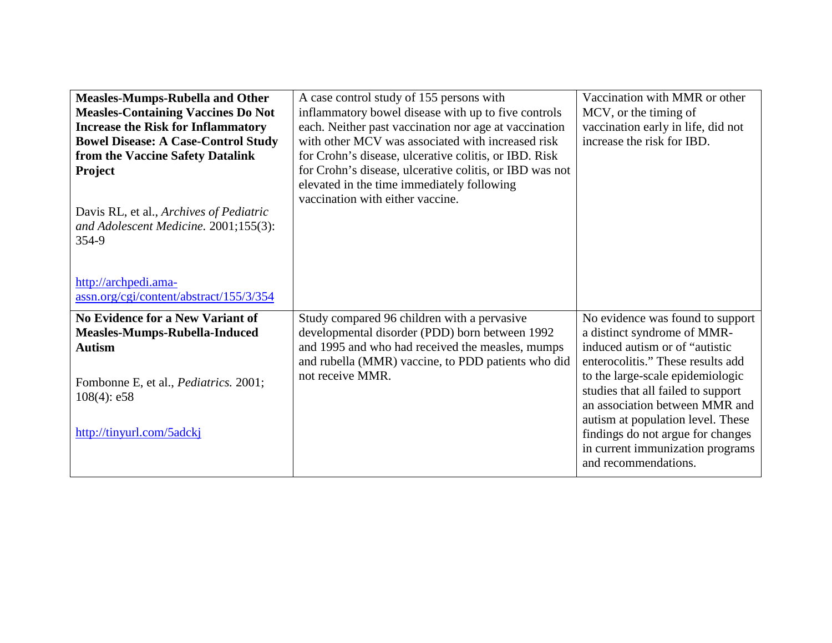| <b>Measles-Mumps-Rubella and Other</b><br><b>Measles-Containing Vaccines Do Not</b><br><b>Increase the Risk for Inflammatory</b><br><b>Bowel Disease: A Case-Control Study</b><br>from the Vaccine Safety Datalink<br><b>Project</b><br>Davis RL, et al., Archives of Pediatric<br>and Adolescent Medicine. 2001;155(3):<br>354-9 | A case control study of 155 persons with<br>inflammatory bowel disease with up to five controls<br>each. Neither past vaccination nor age at vaccination<br>with other MCV was associated with increased risk<br>for Crohn's disease, ulcerative colitis, or IBD. Risk<br>for Crohn's disease, ulcerative colitis, or IBD was not<br>elevated in the time immediately following<br>vaccination with either vaccine. | Vaccination with MMR or other<br>MCV, or the timing of<br>vaccination early in life, did not<br>increase the risk for IBD.                                                                                                                     |
|-----------------------------------------------------------------------------------------------------------------------------------------------------------------------------------------------------------------------------------------------------------------------------------------------------------------------------------|---------------------------------------------------------------------------------------------------------------------------------------------------------------------------------------------------------------------------------------------------------------------------------------------------------------------------------------------------------------------------------------------------------------------|------------------------------------------------------------------------------------------------------------------------------------------------------------------------------------------------------------------------------------------------|
| http://archpedi.ama-<br>assn.org/cgi/content/abstract/155/3/354<br><b>No Evidence for a New Variant of</b><br><b>Measles-Mumps-Rubella-Induced</b><br><b>Autism</b>                                                                                                                                                               | Study compared 96 children with a pervasive<br>developmental disorder (PDD) born between 1992<br>and 1995 and who had received the measles, mumps<br>and rubella (MMR) vaccine, to PDD patients who did                                                                                                                                                                                                             | No evidence was found to support<br>a distinct syndrome of MMR-<br>induced autism or of "autistic"<br>enterocolitis." These results add                                                                                                        |
| Fombonne E, et al., Pediatrics. 2001;<br>$108(4)$ : e58<br>http://tinyurl.com/5adckj                                                                                                                                                                                                                                              | not receive MMR.                                                                                                                                                                                                                                                                                                                                                                                                    | to the large-scale epidemiologic<br>studies that all failed to support<br>an association between MMR and<br>autism at population level. These<br>findings do not argue for changes<br>in current immunization programs<br>and recommendations. |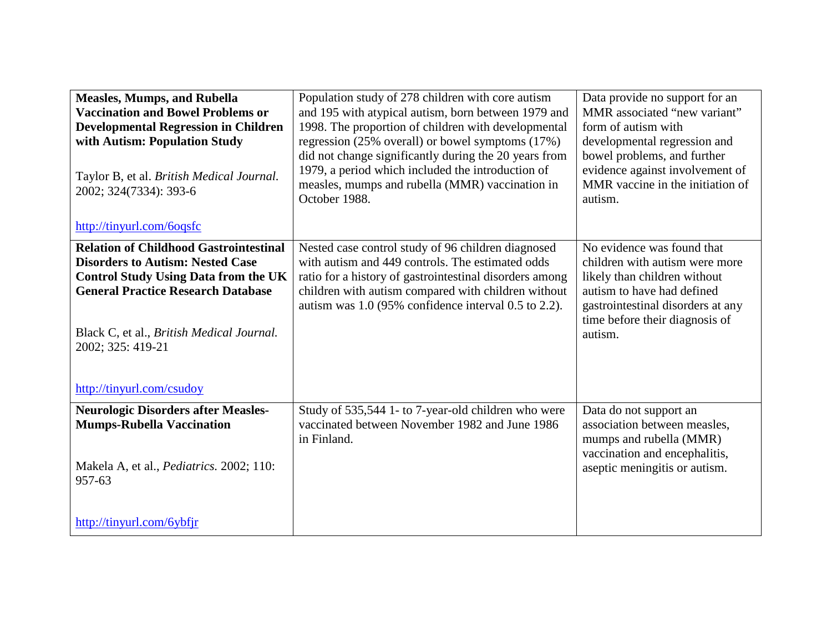| <b>Measles, Mumps, and Rubella</b><br><b>Vaccination and Bowel Problems or</b><br><b>Developmental Regression in Children</b><br>with Autism: Population Study<br>Taylor B, et al. British Medical Journal.<br>2002; 324(7334): 393-6<br>http://tinyurl.com/6oqsfc                  | Population study of 278 children with core autism<br>and 195 with atypical autism, born between 1979 and<br>1998. The proportion of children with developmental<br>regression $(25\%$ overall) or bowel symptoms $(17\%)$<br>did not change significantly during the 20 years from<br>1979, a period which included the introduction of<br>measles, mumps and rubella (MMR) vaccination in<br>October 1988. | Data provide no support for an<br>MMR associated "new variant"<br>form of autism with<br>developmental regression and<br>bowel problems, and further<br>evidence against involvement of<br>MMR vaccine in the initiation of<br>autism. |
|-------------------------------------------------------------------------------------------------------------------------------------------------------------------------------------------------------------------------------------------------------------------------------------|-------------------------------------------------------------------------------------------------------------------------------------------------------------------------------------------------------------------------------------------------------------------------------------------------------------------------------------------------------------------------------------------------------------|----------------------------------------------------------------------------------------------------------------------------------------------------------------------------------------------------------------------------------------|
| <b>Relation of Childhood Gastrointestinal</b><br><b>Disorders to Autism: Nested Case</b><br><b>Control Study Using Data from the UK</b><br><b>General Practice Research Database</b><br>Black C, et al., British Medical Journal.<br>2002; 325: 419-21<br>http://tinyurl.com/csudoy | Nested case control study of 96 children diagnosed<br>with autism and 449 controls. The estimated odds<br>ratio for a history of gastrointestinal disorders among<br>children with autism compared with children without<br>autism was 1.0 (95% confidence interval 0.5 to 2.2).                                                                                                                            | No evidence was found that<br>children with autism were more<br>likely than children without<br>autism to have had defined<br>gastrointestinal disorders at any<br>time before their diagnosis of<br>autism.                           |
| <b>Neurologic Disorders after Measles-</b><br><b>Mumps-Rubella Vaccination</b><br>Makela A, et al., Pediatrics. 2002; 110:<br>957-63<br>http://tinyurl.com/6ybfjr                                                                                                                   | Study of 535,544 1- to 7-year-old children who were<br>vaccinated between November 1982 and June 1986<br>in Finland.                                                                                                                                                                                                                                                                                        | Data do not support an<br>association between measles,<br>mumps and rubella (MMR)<br>vaccination and encephalitis,<br>aseptic meningitis or autism.                                                                                    |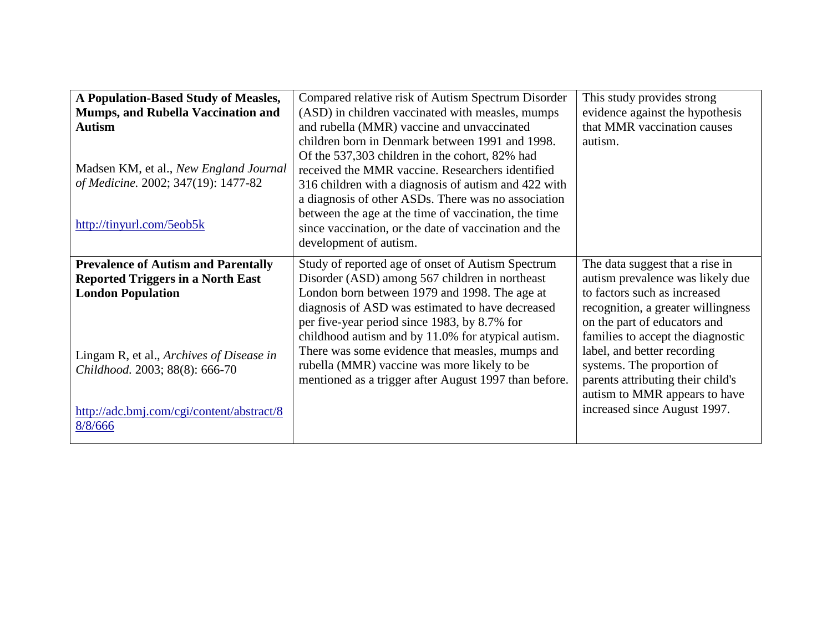| A Population-Based Study of Measles,                                                                               | Compared relative risk of Autism Spectrum Disorder                                                                                                                                                                                                                                                                                                                                                              | This study provides strong                                                                                                                                                |
|--------------------------------------------------------------------------------------------------------------------|-----------------------------------------------------------------------------------------------------------------------------------------------------------------------------------------------------------------------------------------------------------------------------------------------------------------------------------------------------------------------------------------------------------------|---------------------------------------------------------------------------------------------------------------------------------------------------------------------------|
| Mumps, and Rubella Vaccination and                                                                                 | (ASD) in children vaccinated with measles, mumps                                                                                                                                                                                                                                                                                                                                                                | evidence against the hypothesis                                                                                                                                           |
| <b>Autism</b>                                                                                                      | and rubella (MMR) vaccine and unvaccinated                                                                                                                                                                                                                                                                                                                                                                      | that MMR vaccination causes                                                                                                                                               |
| Madsen KM, et al., New England Journal<br>of Medicine. 2002; 347(19): 1477-82<br>http://tinyurl.com/5eob5k         | children born in Denmark between 1991 and 1998.<br>Of the 537,303 children in the cohort, 82% had<br>received the MMR vaccine. Researchers identified<br>316 children with a diagnosis of autism and 422 with<br>a diagnosis of other ASDs. There was no association<br>between the age at the time of vaccination, the time<br>since vaccination, or the date of vaccination and the<br>development of autism. | autism.                                                                                                                                                                   |
|                                                                                                                    |                                                                                                                                                                                                                                                                                                                                                                                                                 |                                                                                                                                                                           |
| <b>Prevalence of Autism and Parentally</b><br><b>Reported Triggers in a North East</b><br><b>London Population</b> | Study of reported age of onset of Autism Spectrum<br>Disorder (ASD) among 567 children in northeast<br>London born between 1979 and 1998. The age at<br>diagnosis of ASD was estimated to have decreased<br>per five-year period since 1983, by 8.7% for                                                                                                                                                        | The data suggest that a rise in<br>autism prevalence was likely due<br>to factors such as increased<br>recognition, a greater willingness<br>on the part of educators and |
| Lingam R, et al., Archives of Disease in<br>Childhood. 2003; 88(8): 666-70                                         | childhood autism and by 11.0% for atypical autism.<br>There was some evidence that measles, mumps and<br>rubella (MMR) vaccine was more likely to be<br>mentioned as a trigger after August 1997 than before.                                                                                                                                                                                                   | families to accept the diagnostic<br>label, and better recording<br>systems. The proportion of<br>parents attributing their child's<br>autism to MMR appears to have      |
| http://adc.bmj.com/cgi/content/abstract/8<br>8/8/666                                                               |                                                                                                                                                                                                                                                                                                                                                                                                                 | increased since August 1997.                                                                                                                                              |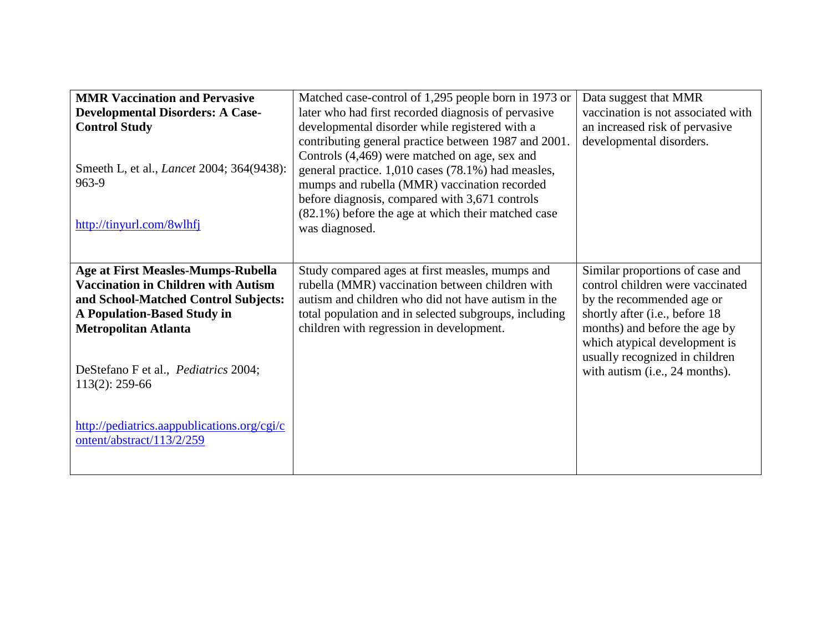| <b>MMR Vaccination and Pervasive</b><br><b>Developmental Disorders: A Case-</b><br><b>Control Study</b><br>Smeeth L, et al., <i>Lancet</i> 2004; 364(9438):<br>963-9<br>http://tinyurl.com/8wlhfj                                                         | Matched case-control of 1,295 people born in 1973 or<br>later who had first recorded diagnosis of pervasive<br>developmental disorder while registered with a<br>contributing general practice between 1987 and 2001.<br>Controls (4,469) were matched on age, sex and<br>general practice. 1,010 cases (78.1%) had measles,<br>mumps and rubella (MMR) vaccination recorded<br>before diagnosis, compared with 3,671 controls<br>(82.1%) before the age at which their matched case<br>was diagnosed. | Data suggest that MMR<br>vaccination is not associated with<br>an increased risk of pervasive<br>developmental disorders.                                                                                                                                                |
|-----------------------------------------------------------------------------------------------------------------------------------------------------------------------------------------------------------------------------------------------------------|--------------------------------------------------------------------------------------------------------------------------------------------------------------------------------------------------------------------------------------------------------------------------------------------------------------------------------------------------------------------------------------------------------------------------------------------------------------------------------------------------------|--------------------------------------------------------------------------------------------------------------------------------------------------------------------------------------------------------------------------------------------------------------------------|
| Age at First Measles-Mumps-Rubella<br><b>Vaccination in Children with Autism</b><br>and School-Matched Control Subjects:<br><b>A Population-Based Study in</b><br><b>Metropolitan Atlanta</b><br>DeStefano F et al., Pediatrics 2004;<br>$113(2): 259-66$ | Study compared ages at first measles, mumps and<br>rubella (MMR) vaccination between children with<br>autism and children who did not have autism in the<br>total population and in selected subgroups, including<br>children with regression in development.                                                                                                                                                                                                                                          | Similar proportions of case and<br>control children were vaccinated<br>by the recommended age or<br>shortly after (i.e., before 18<br>months) and before the age by<br>which atypical development is<br>usually recognized in children<br>with autism (i.e., 24 months). |
| http://pediatrics.aappublications.org/cgi/c<br>ontent/abstract/113/2/259                                                                                                                                                                                  |                                                                                                                                                                                                                                                                                                                                                                                                                                                                                                        |                                                                                                                                                                                                                                                                          |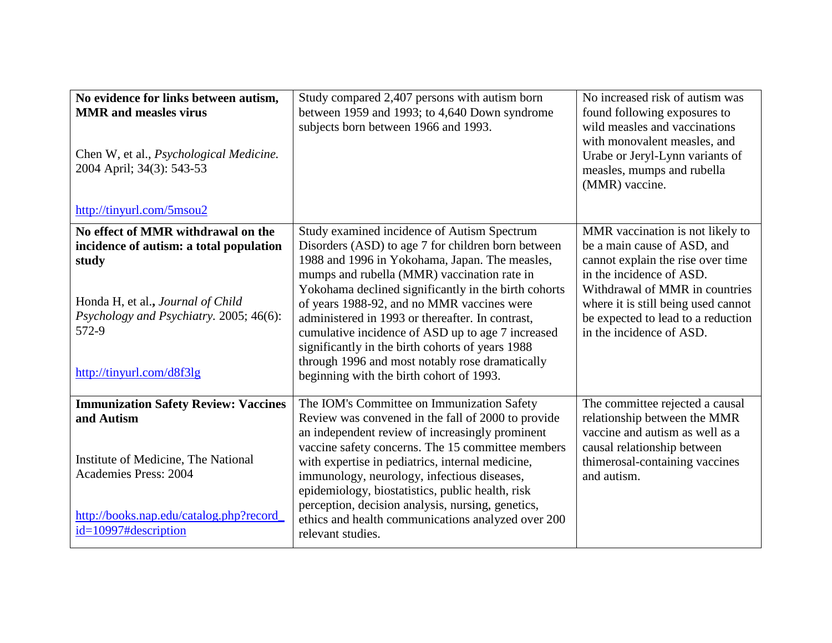| No evidence for links between autism,<br><b>MMR</b> and measles virus<br>Chen W, et al., <i>Psychological Medicine</i> .<br>2004 April; 34(3): 543-53<br>http://tinyurl.com/5msou2                           | Study compared 2,407 persons with autism born<br>between 1959 and 1993; to 4,640 Down syndrome<br>subjects born between 1966 and 1993.                                                                                                                                                                                                                                                                                                                                                                                                                               | No increased risk of autism was<br>found following exposures to<br>wild measles and vaccinations<br>with monovalent measles, and<br>Urabe or Jeryl-Lynn variants of<br>measles, mumps and rubella<br>(MMR) vaccine.                                                         |
|--------------------------------------------------------------------------------------------------------------------------------------------------------------------------------------------------------------|----------------------------------------------------------------------------------------------------------------------------------------------------------------------------------------------------------------------------------------------------------------------------------------------------------------------------------------------------------------------------------------------------------------------------------------------------------------------------------------------------------------------------------------------------------------------|-----------------------------------------------------------------------------------------------------------------------------------------------------------------------------------------------------------------------------------------------------------------------------|
| No effect of MMR withdrawal on the<br>incidence of autism: a total population<br>study<br>Honda H, et al., Journal of Child<br>Psychology and Psychiatry. 2005; 46(6):<br>572-9<br>http://tinyurl.com/d8f3lg | Study examined incidence of Autism Spectrum<br>Disorders (ASD) to age 7 for children born between<br>1988 and 1996 in Yokohama, Japan. The measles,<br>mumps and rubella (MMR) vaccination rate in<br>Yokohama declined significantly in the birth cohorts<br>of years 1988-92, and no MMR vaccines were<br>administered in 1993 or thereafter. In contrast,<br>cumulative incidence of ASD up to age 7 increased<br>significantly in the birth cohorts of years 1988<br>through 1996 and most notably rose dramatically<br>beginning with the birth cohort of 1993. | MMR vaccination is not likely to<br>be a main cause of ASD, and<br>cannot explain the rise over time<br>in the incidence of ASD.<br>Withdrawal of MMR in countries<br>where it is still being used cannot<br>be expected to lead to a reduction<br>in the incidence of ASD. |
| <b>Immunization Safety Review: Vaccines</b><br>and Autism<br>Institute of Medicine, The National<br><b>Academies Press: 2004</b><br>http://books.nap.edu/catalog.php?record<br>id=10997#description          | The IOM's Committee on Immunization Safety<br>Review was convened in the fall of 2000 to provide<br>an independent review of increasingly prominent<br>vaccine safety concerns. The 15 committee members<br>with expertise in pediatrics, internal medicine,<br>immunology, neurology, infectious diseases,<br>epidemiology, biostatistics, public health, risk<br>perception, decision analysis, nursing, genetics,<br>ethics and health communications analyzed over 200<br>relevant studies.                                                                      | The committee rejected a causal<br>relationship between the MMR<br>vaccine and autism as well as a<br>causal relationship between<br>thimerosal-containing vaccines<br>and autism.                                                                                          |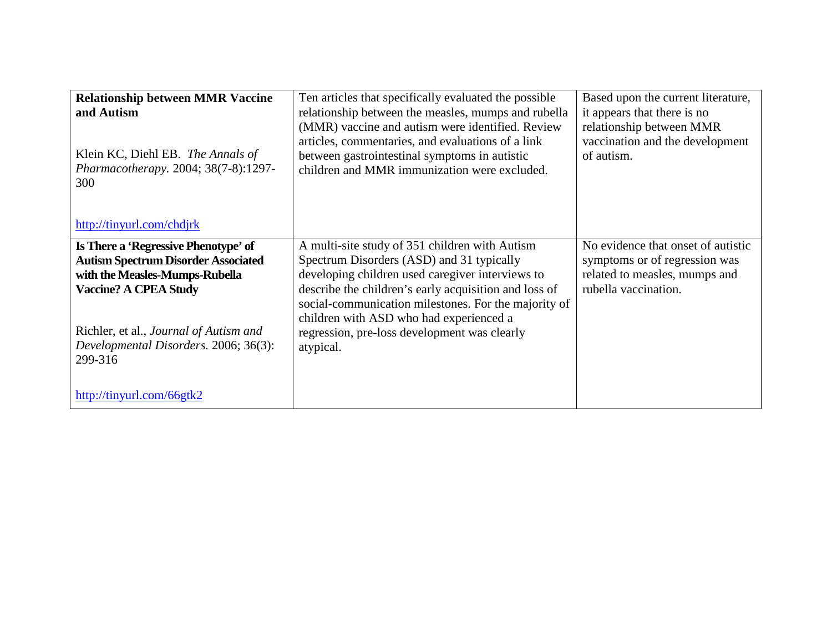| <b>Relationship between MMR Vaccine</b><br>and Autism<br>Klein KC, Diehl EB. The Annals of<br>Pharmacotherapy. 2004; 38(7-8):1297-<br>300<br>http://tinyurl.com/chdjrk                                                                             | Ten articles that specifically evaluated the possible<br>relationship between the measles, mumps and rubella<br>(MMR) vaccine and autism were identified. Review<br>articles, commentaries, and evaluations of a link<br>between gastrointestinal symptoms in autistic<br>children and MMR immunization were excluded.                                                   | Based upon the current literature,<br>it appears that there is no<br>relationship between MMR<br>vaccination and the development<br>of autism. |
|----------------------------------------------------------------------------------------------------------------------------------------------------------------------------------------------------------------------------------------------------|--------------------------------------------------------------------------------------------------------------------------------------------------------------------------------------------------------------------------------------------------------------------------------------------------------------------------------------------------------------------------|------------------------------------------------------------------------------------------------------------------------------------------------|
| Is There a 'Regressive Phenotype' of<br><b>Autism Spectrum Disorder Associated</b><br>with the Measles-Mumps-Rubella<br><b>Vaccine? A CPEA Study</b><br>Richler, et al., Journal of Autism and<br>Developmental Disorders. 2006; 36(3):<br>299-316 | A multi-site study of 351 children with Autism<br>Spectrum Disorders (ASD) and 31 typically<br>developing children used caregiver interviews to<br>describe the children's early acquisition and loss of<br>social-communication milestones. For the majority of<br>children with ASD who had experienced a<br>regression, pre-loss development was clearly<br>atypical. | No evidence that onset of autistic<br>symptoms or of regression was<br>related to measles, mumps and<br>rubella vaccination.                   |
| http://tinyurl.com/66gtk2                                                                                                                                                                                                                          |                                                                                                                                                                                                                                                                                                                                                                          |                                                                                                                                                |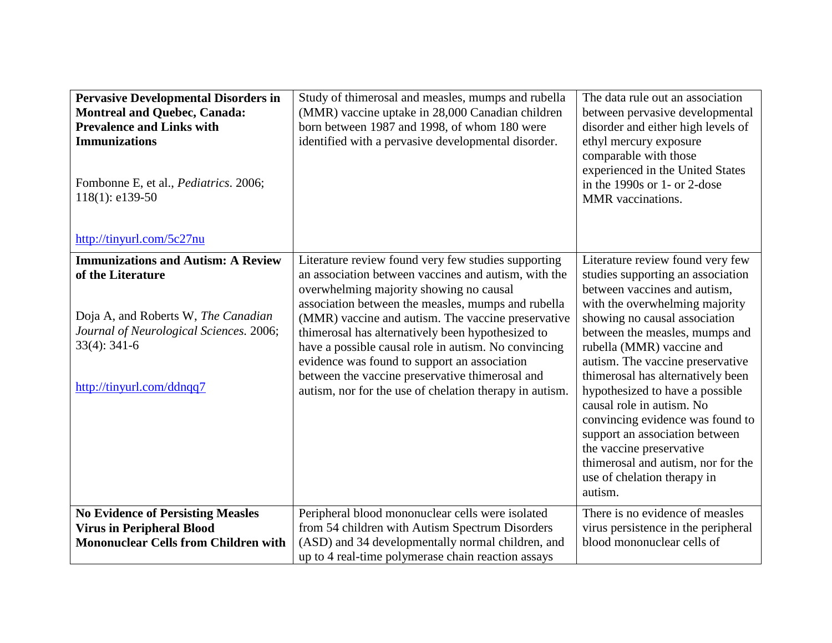| <b>Pervasive Developmental Disorders in</b><br><b>Montreal and Quebec, Canada:</b><br><b>Prevalence and Links with</b><br><b>Immunizations</b><br>Fombonne E, et al., Pediatrics. 2006;<br>$118(1)$ : e139-50<br>http://tinyurl.com/5c27nu | Study of thimerosal and measles, mumps and rubella<br>(MMR) vaccine uptake in 28,000 Canadian children<br>born between 1987 and 1998, of whom 180 were<br>identified with a pervasive developmental disorder.                                                                                                                                                                                                                                                                                                                                 | The data rule out an association<br>between pervasive developmental<br>disorder and either high levels of<br>ethyl mercury exposure<br>comparable with those<br>experienced in the United States<br>in the 1990s or 1- or 2-dose<br>MMR vaccinations.                                                                                                                                                                                                                                                                                                              |
|--------------------------------------------------------------------------------------------------------------------------------------------------------------------------------------------------------------------------------------------|-----------------------------------------------------------------------------------------------------------------------------------------------------------------------------------------------------------------------------------------------------------------------------------------------------------------------------------------------------------------------------------------------------------------------------------------------------------------------------------------------------------------------------------------------|--------------------------------------------------------------------------------------------------------------------------------------------------------------------------------------------------------------------------------------------------------------------------------------------------------------------------------------------------------------------------------------------------------------------------------------------------------------------------------------------------------------------------------------------------------------------|
| <b>Immunizations and Autism: A Review</b><br>of the Literature<br>Doja A, and Roberts W, The Canadian<br>Journal of Neurological Sciences. 2006;<br>$33(4): 341-6$<br>http://tinyurl.com/ddnqq7                                            | Literature review found very few studies supporting<br>an association between vaccines and autism, with the<br>overwhelming majority showing no causal<br>association between the measles, mumps and rubella<br>(MMR) vaccine and autism. The vaccine preservative<br>thimerosal has alternatively been hypothesized to<br>have a possible causal role in autism. No convincing<br>evidence was found to support an association<br>between the vaccine preservative thimerosal and<br>autism, nor for the use of chelation therapy in autism. | Literature review found very few<br>studies supporting an association<br>between vaccines and autism,<br>with the overwhelming majority<br>showing no causal association<br>between the measles, mumps and<br>rubella (MMR) vaccine and<br>autism. The vaccine preservative<br>thimerosal has alternatively been<br>hypothesized to have a possible<br>causal role in autism. No<br>convincing evidence was found to<br>support an association between<br>the vaccine preservative<br>thimerosal and autism, nor for the<br>use of chelation therapy in<br>autism. |
| <b>No Evidence of Persisting Measles</b><br><b>Virus in Peripheral Blood</b><br><b>Mononuclear Cells from Children with</b>                                                                                                                | Peripheral blood mononuclear cells were isolated<br>from 54 children with Autism Spectrum Disorders<br>(ASD) and 34 developmentally normal children, and<br>up to 4 real-time polymerase chain reaction assays                                                                                                                                                                                                                                                                                                                                | There is no evidence of measles<br>virus persistence in the peripheral<br>blood mononuclear cells of                                                                                                                                                                                                                                                                                                                                                                                                                                                               |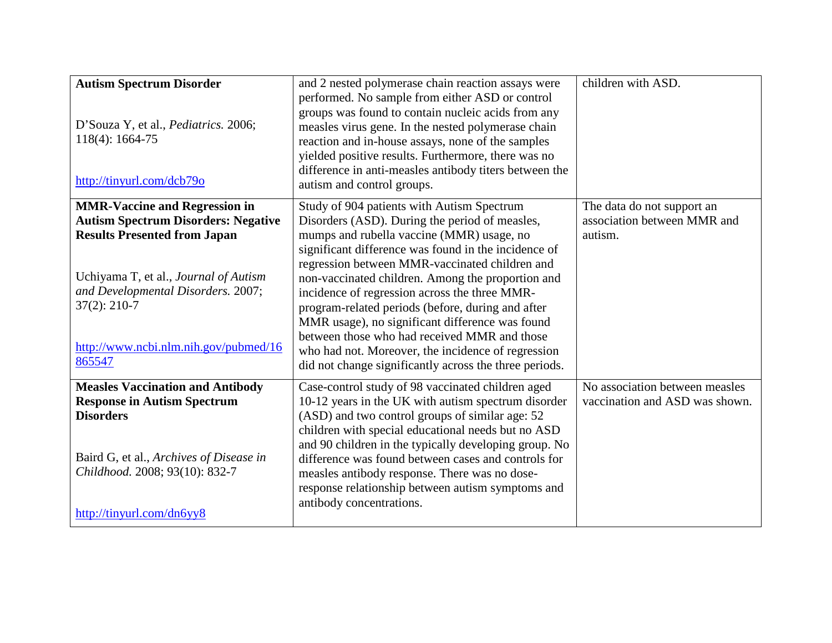| <b>Autism Spectrum Disorder</b><br>D'Souza Y, et al., Pediatrics. 2006;<br>118(4): 1664-75<br>http://tinyurl.com/dcb79o                                                                 | and 2 nested polymerase chain reaction assays were<br>performed. No sample from either ASD or control<br>groups was found to contain nucleic acids from any<br>measles virus gene. In the nested polymerase chain<br>reaction and in-house assays, none of the samples<br>yielded positive results. Furthermore, there was no<br>difference in anti-measles antibody titers between the<br>autism and control groups.                                                                                                             | children with ASD.             |
|-----------------------------------------------------------------------------------------------------------------------------------------------------------------------------------------|-----------------------------------------------------------------------------------------------------------------------------------------------------------------------------------------------------------------------------------------------------------------------------------------------------------------------------------------------------------------------------------------------------------------------------------------------------------------------------------------------------------------------------------|--------------------------------|
| <b>MMR-Vaccine and Regression in</b>                                                                                                                                                    | Study of 904 patients with Autism Spectrum                                                                                                                                                                                                                                                                                                                                                                                                                                                                                        | The data do not support an     |
| <b>Autism Spectrum Disorders: Negative</b>                                                                                                                                              | Disorders (ASD). During the period of measles,                                                                                                                                                                                                                                                                                                                                                                                                                                                                                    | association between MMR and    |
| <b>Results Presented from Japan</b><br>Uchiyama T, et al., Journal of Autism<br>and Developmental Disorders. 2007;<br>$37(2): 210-7$<br>http://www.ncbi.nlm.nih.gov/pubmed/16<br>865547 | mumps and rubella vaccine (MMR) usage, no<br>significant difference was found in the incidence of<br>regression between MMR-vaccinated children and<br>non-vaccinated children. Among the proportion and<br>incidence of regression across the three MMR-<br>program-related periods (before, during and after<br>MMR usage), no significant difference was found<br>between those who had received MMR and those<br>who had not. Moreover, the incidence of regression<br>did not change significantly across the three periods. | autism.                        |
| <b>Measles Vaccination and Antibody</b>                                                                                                                                                 | Case-control study of 98 vaccinated children aged                                                                                                                                                                                                                                                                                                                                                                                                                                                                                 | No association between measles |
| <b>Response in Autism Spectrum</b><br><b>Disorders</b>                                                                                                                                  | 10-12 years in the UK with autism spectrum disorder<br>(ASD) and two control groups of similar age: 52                                                                                                                                                                                                                                                                                                                                                                                                                            | vaccination and ASD was shown. |
| Baird G, et al., Archives of Disease in<br>Childhood. 2008; 93(10): 832-7<br>http://tinyurl.com/dn6yy8                                                                                  | children with special educational needs but no ASD<br>and 90 children in the typically developing group. No<br>difference was found between cases and controls for<br>measles antibody response. There was no dose-<br>response relationship between autism symptoms and<br>antibody concentrations.                                                                                                                                                                                                                              |                                |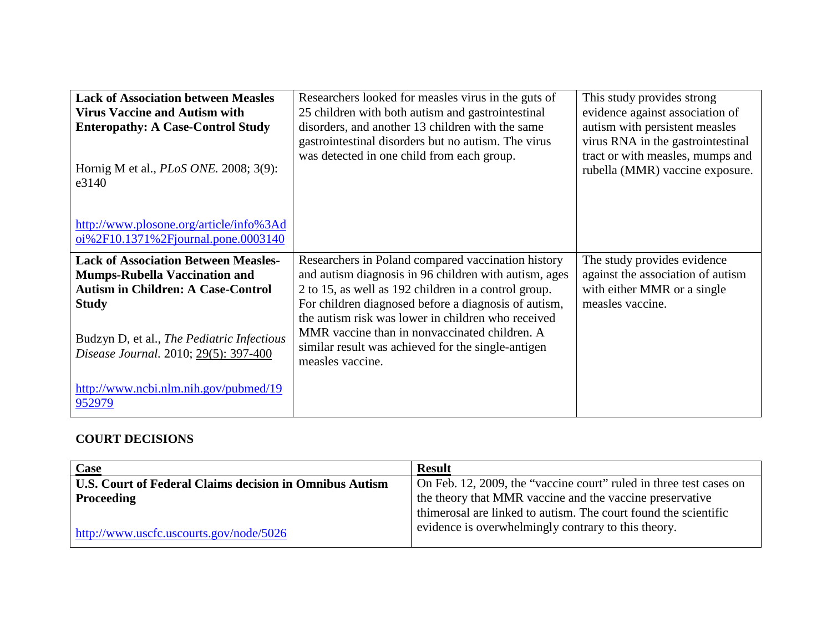| <b>Lack of Association between Measles</b><br><b>Virus Vaccine and Autism with</b><br><b>Enteropathy: A Case-Control Study</b><br>Hornig M et al., <i>PLoS ONE</i> . 2008; 3(9):<br>e3140 | Researchers looked for measles virus in the guts of<br>25 children with both autism and gastrointestinal<br>disorders, and another 13 children with the same<br>gastrointestinal disorders but no autism. The virus<br>was detected in one child from each group. | This study provides strong<br>evidence against association of<br>autism with persistent measles<br>virus RNA in the gastrointestinal<br>tract or with measles, mumps and<br>rubella (MMR) vaccine exposure. |
|-------------------------------------------------------------------------------------------------------------------------------------------------------------------------------------------|-------------------------------------------------------------------------------------------------------------------------------------------------------------------------------------------------------------------------------------------------------------------|-------------------------------------------------------------------------------------------------------------------------------------------------------------------------------------------------------------|
| http://www.plosone.org/article/info%3Ad<br>oi%2F10.1371%2Fjournal.pone.0003140                                                                                                            |                                                                                                                                                                                                                                                                   |                                                                                                                                                                                                             |
| <b>Lack of Association Between Measles-</b><br><b>Mumps-Rubella Vaccination and</b><br><b>Autism in Children: A Case-Control</b><br><b>Study</b>                                          | Researchers in Poland compared vaccination history<br>and autism diagnosis in 96 children with autism, ages<br>2 to 15, as well as 192 children in a control group.<br>For children diagnosed before a diagnosis of autism,                                       | The study provides evidence<br>against the association of autism<br>with either MMR or a single<br>measles vaccine.                                                                                         |
| Budzyn D, et al., The Pediatric Infectious<br>Disease Journal. 2010; 29(5): 397-400                                                                                                       | the autism risk was lower in children who received<br>MMR vaccine than in nonvaccinated children. A<br>similar result was achieved for the single-antigen<br>measles vaccine.                                                                                     |                                                                                                                                                                                                             |
| http://www.ncbi.nlm.nih.gov/pubmed/19<br>952979                                                                                                                                           |                                                                                                                                                                                                                                                                   |                                                                                                                                                                                                             |

### **COURT DECISIONS**

| <b>Case</b>                                                    | <b>Result</b>                                                      |
|----------------------------------------------------------------|--------------------------------------------------------------------|
| <b>U.S. Court of Federal Claims decision in Omnibus Autism</b> | On Feb. 12, 2009, the "vaccine court" ruled in three test cases on |
| Proceeding                                                     | the theory that MMR vaccine and the vaccine preservative           |
|                                                                | thimerosal are linked to autism. The court found the scientific    |
| $http://www.uscfc.uscourts.gov/node/5026$                      | evidence is overwhelmingly contrary to this theory.                |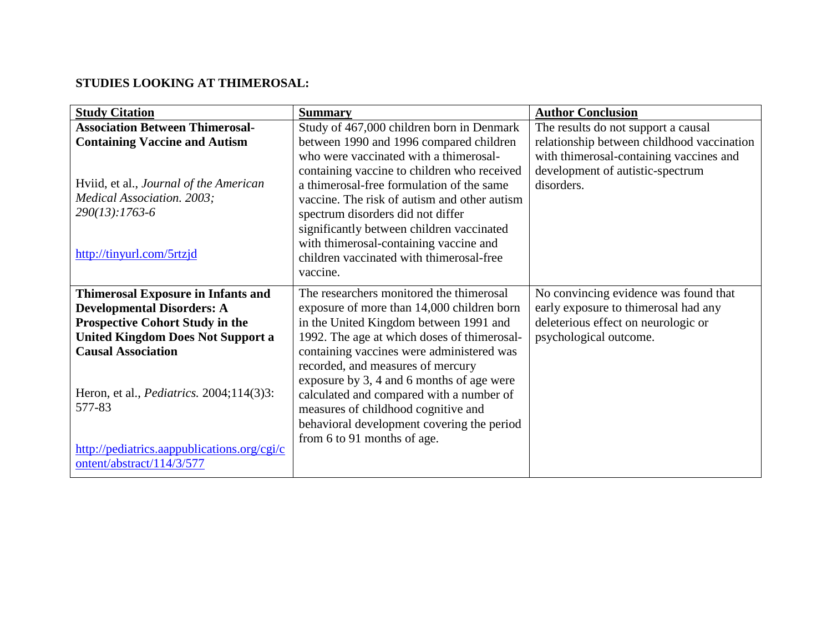## **STUDIES LOOKING AT THIMEROSAL:**

| <b>Study Citation</b>                            | <b>Summary</b>                               | <b>Author Conclusion</b>                   |
|--------------------------------------------------|----------------------------------------------|--------------------------------------------|
| <b>Association Between Thimerosal-</b>           | Study of 467,000 children born in Denmark    | The results do not support a causal        |
| <b>Containing Vaccine and Autism</b>             | between 1990 and 1996 compared children      | relationship between childhood vaccination |
|                                                  | who were vaccinated with a thimerosal-       | with thimerosal-containing vaccines and    |
|                                                  | containing vaccine to children who received  | development of autistic-spectrum           |
| Hviid, et al., Journal of the American           | a thimerosal-free formulation of the same    | disorders.                                 |
| Medical Association. 2003;                       | vaccine. The risk of autism and other autism |                                            |
| 290(13):1763-6                                   | spectrum disorders did not differ            |                                            |
|                                                  | significantly between children vaccinated    |                                            |
|                                                  | with thimerosal-containing vaccine and       |                                            |
| http://tinyurl.com/5rtzjd                        | children vaccinated with thimerosal-free     |                                            |
|                                                  | vaccine.                                     |                                            |
| <b>Thimerosal Exposure in Infants and</b>        | The researchers monitored the thimerosal     | No convincing evidence was found that      |
| <b>Developmental Disorders: A</b>                | exposure of more than 14,000 children born   | early exposure to thimerosal had any       |
| <b>Prospective Cohort Study in the</b>           | in the United Kingdom between 1991 and       | deleterious effect on neurologic or        |
| <b>United Kingdom Does Not Support a</b>         | 1992. The age at which doses of thimerosal-  | psychological outcome.                     |
| <b>Causal Association</b>                        | containing vaccines were administered was    |                                            |
|                                                  | recorded, and measures of mercury            |                                            |
|                                                  | exposure by 3, 4 and 6 months of age were    |                                            |
| Heron, et al., <i>Pediatrics</i> . 2004;114(3)3: | calculated and compared with a number of     |                                            |
| 577-83                                           | measures of childhood cognitive and          |                                            |
|                                                  | behavioral development covering the period   |                                            |
|                                                  | from 6 to 91 months of age.                  |                                            |
| http://pediatrics.aappublications.org/cgi/c      |                                              |                                            |
| ontent/abstract/114/3/577                        |                                              |                                            |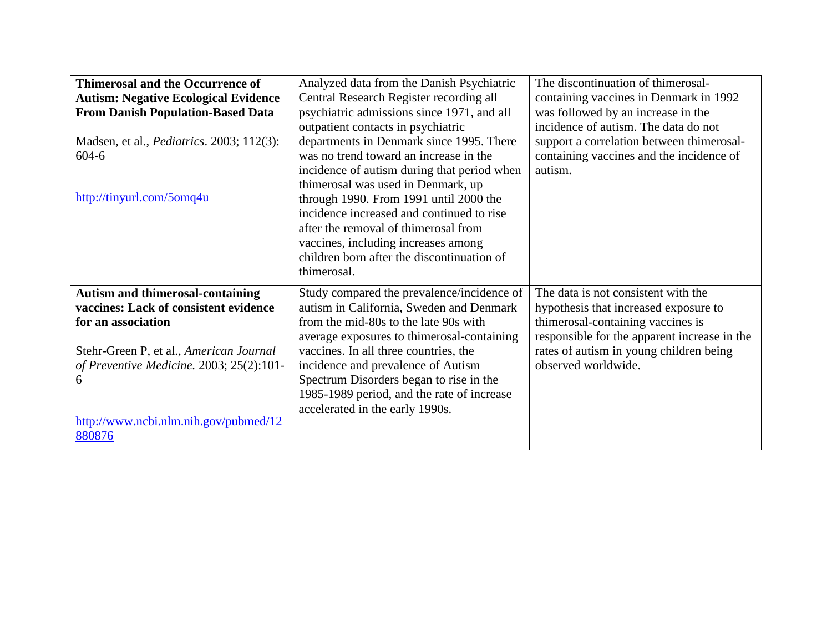| <b>Thimerosal and the Occurrence of</b>           | Analyzed data from the Danish Psychiatric   | The discontinuation of thimerosal-           |
|---------------------------------------------------|---------------------------------------------|----------------------------------------------|
| <b>Autism: Negative Ecological Evidence</b>       | Central Research Register recording all     | containing vaccines in Denmark in 1992       |
| <b>From Danish Population-Based Data</b>          | psychiatric admissions since 1971, and all  | was followed by an increase in the           |
|                                                   | outpatient contacts in psychiatric          | incidence of autism. The data do not         |
| Madsen, et al., <i>Pediatrics</i> . 2003; 112(3): | departments in Denmark since 1995. There    | support a correlation between thimerosal-    |
| $604 - 6$                                         | was no trend toward an increase in the      | containing vaccines and the incidence of     |
|                                                   | incidence of autism during that period when | autism.                                      |
|                                                   | thimerosal was used in Denmark, up          |                                              |
| http://tinyurl.com/5omq4u                         | through 1990. From 1991 until 2000 the      |                                              |
|                                                   | incidence increased and continued to rise   |                                              |
|                                                   | after the removal of thimerosal from        |                                              |
|                                                   | vaccines, including increases among         |                                              |
|                                                   | children born after the discontinuation of  |                                              |
|                                                   | thimerosal.                                 |                                              |
| <b>Autism and thimerosal-containing</b>           | Study compared the prevalence/incidence of  | The data is not consistent with the          |
| vaccines: Lack of consistent evidence             | autism in California, Sweden and Denmark    | hypothesis that increased exposure to        |
| for an association                                | from the mid-80s to the late 90s with       | thimerosal-containing vaccines is            |
|                                                   | average exposures to thimerosal-containing  | responsible for the apparent increase in the |
| Stehr-Green P, et al., American Journal           | vaccines. In all three countries, the       | rates of autism in young children being      |
| of Preventive Medicine. 2003; 25(2):101-          | incidence and prevalence of Autism          | observed worldwide.                          |
| 6                                                 |                                             |                                              |
|                                                   |                                             |                                              |
|                                                   | Spectrum Disorders began to rise in the     |                                              |
|                                                   | 1985-1989 period, and the rate of increase  |                                              |
|                                                   | accelerated in the early 1990s.             |                                              |
| http://www.ncbi.nlm.nih.gov/pubmed/12<br>880876   |                                             |                                              |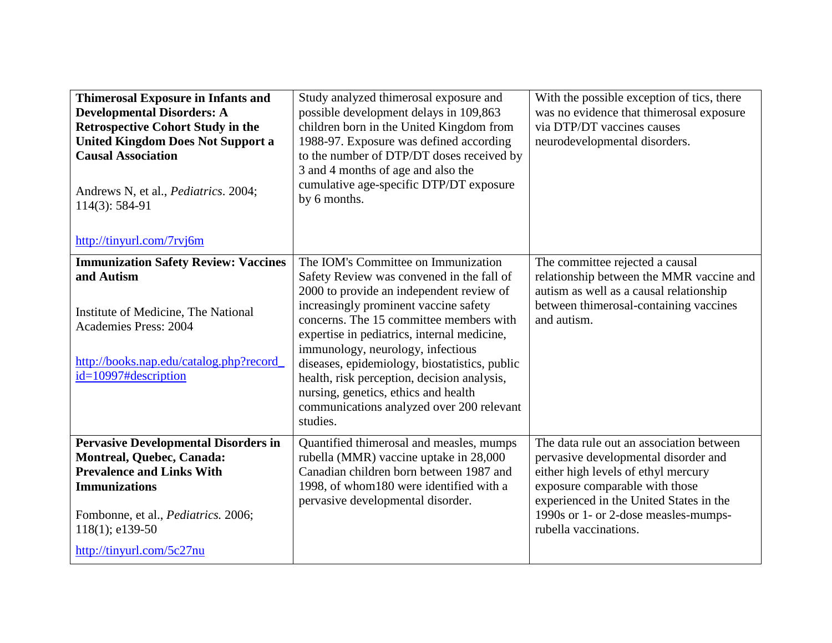| <b>Thimerosal Exposure in Infants and</b><br><b>Developmental Disorders: A</b><br><b>Retrospective Cohort Study in the</b><br><b>United Kingdom Does Not Support a</b><br><b>Causal Association</b><br>Andrews N, et al., <i>Pediatrics</i> . 2004;<br>$114(3): 584-91$<br>http://tinyurl.com/7rvj6m | Study analyzed thimerosal exposure and<br>possible development delays in 109,863<br>children born in the United Kingdom from<br>1988-97. Exposure was defined according<br>to the number of DTP/DT doses received by<br>3 and 4 months of age and also the<br>cumulative age-specific DTP/DT exposure<br>by 6 months.                                                                                                                                                                                 | With the possible exception of tics, there<br>was no evidence that thimerosal exposure<br>via DTP/DT vaccines causes<br>neurodevelopmental disorders.                                                                                                                 |
|------------------------------------------------------------------------------------------------------------------------------------------------------------------------------------------------------------------------------------------------------------------------------------------------------|-------------------------------------------------------------------------------------------------------------------------------------------------------------------------------------------------------------------------------------------------------------------------------------------------------------------------------------------------------------------------------------------------------------------------------------------------------------------------------------------------------|-----------------------------------------------------------------------------------------------------------------------------------------------------------------------------------------------------------------------------------------------------------------------|
| <b>Immunization Safety Review: Vaccines</b><br>and Autism<br>Institute of Medicine, The National<br><b>Academies Press: 2004</b><br>http://books.nap.edu/catalog.php?record_<br>id=10997#description                                                                                                 | The IOM's Committee on Immunization<br>Safety Review was convened in the fall of<br>2000 to provide an independent review of<br>increasingly prominent vaccine safety<br>concerns. The 15 committee members with<br>expertise in pediatrics, internal medicine,<br>immunology, neurology, infectious<br>diseases, epidemiology, biostatistics, public<br>health, risk perception, decision analysis,<br>nursing, genetics, ethics and health<br>communications analyzed over 200 relevant<br>studies. | The committee rejected a causal<br>relationship between the MMR vaccine and<br>autism as well as a causal relationship<br>between thimerosal-containing vaccines<br>and autism.                                                                                       |
| <b>Pervasive Developmental Disorders in</b><br>Montreal, Quebec, Canada:<br><b>Prevalence and Links With</b><br><b>Immunizations</b><br>Fombonne, et al., Pediatrics. 2006;<br>$118(1)$ ; e139-50<br>http://tinyurl.com/5c27nu                                                                       | Quantified thimerosal and measles, mumps<br>rubella (MMR) vaccine uptake in 28,000<br>Canadian children born between 1987 and<br>1998, of whom 180 were identified with a<br>pervasive developmental disorder.                                                                                                                                                                                                                                                                                        | The data rule out an association between<br>pervasive developmental disorder and<br>either high levels of ethyl mercury<br>exposure comparable with those<br>experienced in the United States in the<br>1990s or 1- or 2-dose measles-mumps-<br>rubella vaccinations. |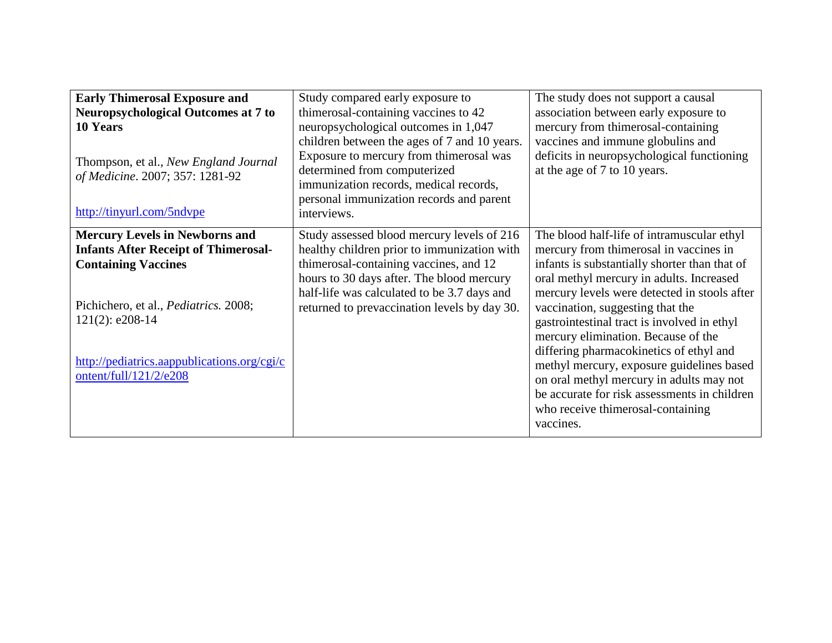| <b>Early Thimerosal Exposure and</b><br><b>Neuropsychological Outcomes at 7 to</b><br>10 Years<br>Thompson, et al., New England Journal<br>of Medicine. 2007; 357: 1281-92<br>http://tinyurl.com/5ndvpe                          | Study compared early exposure to<br>thimerosal-containing vaccines to 42<br>neuropsychological outcomes in 1,047<br>children between the ages of 7 and 10 years.<br>Exposure to mercury from thimerosal was<br>determined from computerized<br>immunization records, medical records,<br>personal immunization records and parent<br>interviews. | The study does not support a causal<br>association between early exposure to<br>mercury from thimerosal-containing<br>vaccines and immune globulins and<br>deficits in neuropsychological functioning<br>at the age of 7 to 10 years.                                                                                                                                                                  |
|----------------------------------------------------------------------------------------------------------------------------------------------------------------------------------------------------------------------------------|--------------------------------------------------------------------------------------------------------------------------------------------------------------------------------------------------------------------------------------------------------------------------------------------------------------------------------------------------|--------------------------------------------------------------------------------------------------------------------------------------------------------------------------------------------------------------------------------------------------------------------------------------------------------------------------------------------------------------------------------------------------------|
| <b>Mercury Levels in Newborns and</b><br><b>Infants After Receipt of Thimerosal-</b><br><b>Containing Vaccines</b><br>Pichichero, et al., Pediatrics. 2008;<br>$121(2)$ : e208-14<br>http://pediatrics.aappublications.org/cgi/c | Study assessed blood mercury levels of 216<br>healthy children prior to immunization with<br>thimerosal-containing vaccines, and 12<br>hours to 30 days after. The blood mercury<br>half-life was calculated to be 3.7 days and<br>returned to prevaccination levels by day 30.                                                                  | The blood half-life of intramuscular ethyl<br>mercury from thimerosal in vaccines in<br>infants is substantially shorter than that of<br>oral methyl mercury in adults. Increased<br>mercury levels were detected in stools after<br>vaccination, suggesting that the<br>gastrointestinal tract is involved in ethyl<br>mercury elimination. Because of the<br>differing pharmacokinetics of ethyl and |
| ontent/full/121/2/e208                                                                                                                                                                                                           |                                                                                                                                                                                                                                                                                                                                                  | methyl mercury, exposure guidelines based<br>on oral methyl mercury in adults may not<br>be accurate for risk assessments in children<br>who receive thimerosal-containing<br>vaccines.                                                                                                                                                                                                                |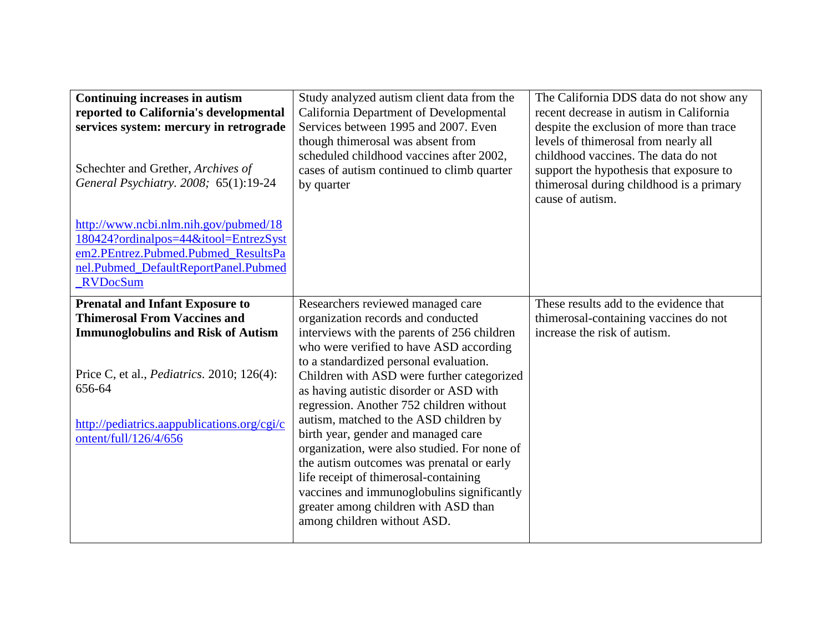| Continuing increases in autism<br>reported to California's developmental<br>services system: mercury in retrograde<br>Schechter and Grether, Archives of<br>General Psychiatry. 2008; 65(1):19-24<br>http://www.ncbi.nlm.nih.gov/pubmed/18<br>180424?ordinalpos=44&itool=EntrezSyst<br>em2.PEntrez.Pubmed.Pubmed ResultsPa<br>nel.Pubmed_DefaultReportPanel.Pubmed<br><b>RVDocSum</b> | Study analyzed autism client data from the<br>California Department of Developmental<br>Services between 1995 and 2007. Even<br>though thimerosal was absent from<br>scheduled childhood vaccines after 2002,<br>cases of autism continued to climb quarter<br>by quarter                                                                                                                                                                                                                                                                                                                                                                                                                    | The California DDS data do not show any<br>recent decrease in autism in California<br>despite the exclusion of more than trace<br>levels of thimerosal from nearly all<br>childhood vaccines. The data do not<br>support the hypothesis that exposure to<br>thimerosal during childhood is a primary<br>cause of autism. |
|---------------------------------------------------------------------------------------------------------------------------------------------------------------------------------------------------------------------------------------------------------------------------------------------------------------------------------------------------------------------------------------|----------------------------------------------------------------------------------------------------------------------------------------------------------------------------------------------------------------------------------------------------------------------------------------------------------------------------------------------------------------------------------------------------------------------------------------------------------------------------------------------------------------------------------------------------------------------------------------------------------------------------------------------------------------------------------------------|--------------------------------------------------------------------------------------------------------------------------------------------------------------------------------------------------------------------------------------------------------------------------------------------------------------------------|
| <b>Prenatal and Infant Exposure to</b><br><b>Thimerosal From Vaccines and</b><br><b>Immunoglobulins and Risk of Autism</b><br>Price C, et al., <i>Pediatrics</i> . 2010; 126(4):<br>656-64<br>http://pediatrics.aappublications.org/cgi/c<br>ontent/full/126/4/656                                                                                                                    | Researchers reviewed managed care<br>organization records and conducted<br>interviews with the parents of 256 children<br>who were verified to have ASD according<br>to a standardized personal evaluation.<br>Children with ASD were further categorized<br>as having autistic disorder or ASD with<br>regression. Another 752 children without<br>autism, matched to the ASD children by<br>birth year, gender and managed care<br>organization, were also studied. For none of<br>the autism outcomes was prenatal or early<br>life receipt of thimerosal-containing<br>vaccines and immunoglobulins significantly<br>greater among children with ASD than<br>among children without ASD. | These results add to the evidence that<br>thimerosal-containing vaccines do not<br>increase the risk of autism.                                                                                                                                                                                                          |